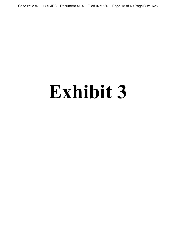Case 2:12-cv-00089-JRG Document 41-4 Filed 07/15/13 Page 13 of 49 PageID #: 625

## **Exhibit 3**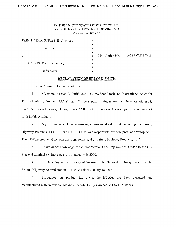## IN THE UNITED STATES DISTRlCT COURT FOR THE EASTERN DISTRlCT OF VIRGINIA Alexandria Division

| TRINITY INDUSTRIES, INC., et al., |  |
|-----------------------------------|--|
| Plaintiffs,                       |  |
| $V_{-}$                           |  |
| SPIG INDUSTRY, LLC, et al.,       |  |
| Defendants.                       |  |

Civil Action No. 1:11 cv937-CMH-TRJ

## DECLARATION OF BRIAN E. SMITH

I, Brian E. Smith, declare as follows:

1. My name is Brian E. Smith, and I am the Vice President, International Sales for Trinity Highway Products, LLC ("Trinity"), the Plaintiff in this matter. My business address is 2525 Stemmons Freeway, Dallas, Texas 75207. I have personal knowledge of the matters set forth in this Affidavit.

2. My job duties include overseeing international sales and marketing for Trinity Highway Products, LLC. Prior to 2011, I also was responsible for new product development. The ET-Plus product at issue in this litigation is sold by Trinity Highway Products, LLC.

3. I have direct knowledge of the modifications and improvements made to the ET-Plus end terminal product since its introduction in 2000.

4. The ET-Plus has been accepted for use on the National Highway System by the Federal Highway Administration ("FHW A") since January 18, 2000.

5. Throughout its product life cycle, the ET-Plus has been designed and manufactured with an exit gap having a manufacturing variance of 1 to 1.15 inches.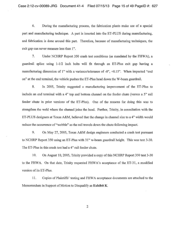6. During the manufacturing process, the fabrication plants make use of a special part and manufacturing technique. A part is inserted into the ET-PLUS during manufacturing, and fabrication is done around this part. Therefore, because of manufacturing techniques, the exit gap can never measure less than 1".

7. Under NCHRP Report 350 crash test conditions (as mandated by the FHWA), a guardrail splice using 1-1/2 inch bolts will fit through an ET-Plus exit gap having a manufacturing dimension of 1" with a variance/tolerance of -0", +0.15". When impacted "end on" at the end terminal, the vehicle pushes the ET-Plus head down the W-beam guardrail.

8. In 2005, Trinity suggested a manufacturing improvement of the ET-Plus to include an end terminal with a 4" top and bottom channel on the feeder chute (versus a 5" rail feeder chute in prior versions of the ET-Plus). One of the reasons for doing this was to strengthen the weld where the channel joins the head. Further, Trinity, in consultation with the ET-PLUS designers at Texas A&M, believed that the change in channel size to a 4" width would reduce the occurrence of "wobble" as the rail travels down the chute following impact.

9. On May 27, 2005, Texas A&M design engineers conducted a crash test pursuant to NCHRP Report 350 using an ET-Plus with 31" w-beam guardrail height. This was test 3-30. The ET-Plus in this crash test had a 4" rail feeder chute.

10. On August 10, 2005, Trinity provided a copy of this NCHRP Report 350 test 3-30 to the FHWA. On that date, Trinity requested FHWA's acceptance of the ET-31, a modified version of its ET-Plus.

11. Copies of Plaintiffs' testing and FHWA acceptance documents are attached to the Memorandum in Support of Motion to Disqualify as Exhibit K.

2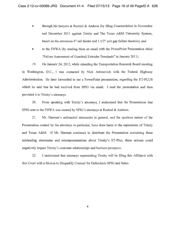- through his lawyers at Roetzel  $\&$  Andress (by filing Counterclaims in November and December 2011 against Trinity and The Texas A&M University System, based on the erroneous 4" rail feeder and 1-1/2" exit gap failure theories), and
- to the FHWA (by sending them an email with the PowerPoint Presentation titled "Failure Assessment of Guardrail Extruder Terminals" in January 2011).

19. On January 24, 2012, while attending the Transportation Research Board meeting m Washington, D.C., I was contacted by Nick Artimovich with the Federal Highway Administration. He later forwarded to me a PowerPoint presentation, regarding the ET-PLUS which he said that he had received from SPIG via email. I read the presentation and then provided it to Trinity's attorneys.

20. From speaking with Trinity's attorneys, I understand that the Presentation that SPIG sent to the FHWA was created by SPIG's attorneys at Roetzel & Andress.

21. Mr. Harman's unfounded statements in general, and the spurious nature of the Presentation created by his attorneys in particular, have done harm to the reputations of Trinity and Texas A&M. If Mr. Harman continues to distribute the Presentation containing these misleading statements and misrepresentations about Trinity's ET-Plus, these actions could negatively impact Trinity's customer relationships and business prospects.

22. I understand that attorneys representing Trinity will be filing this Affidavit with this Court with a Motion to Disqualify Counsel for Defendants SPIG and Selco.

4